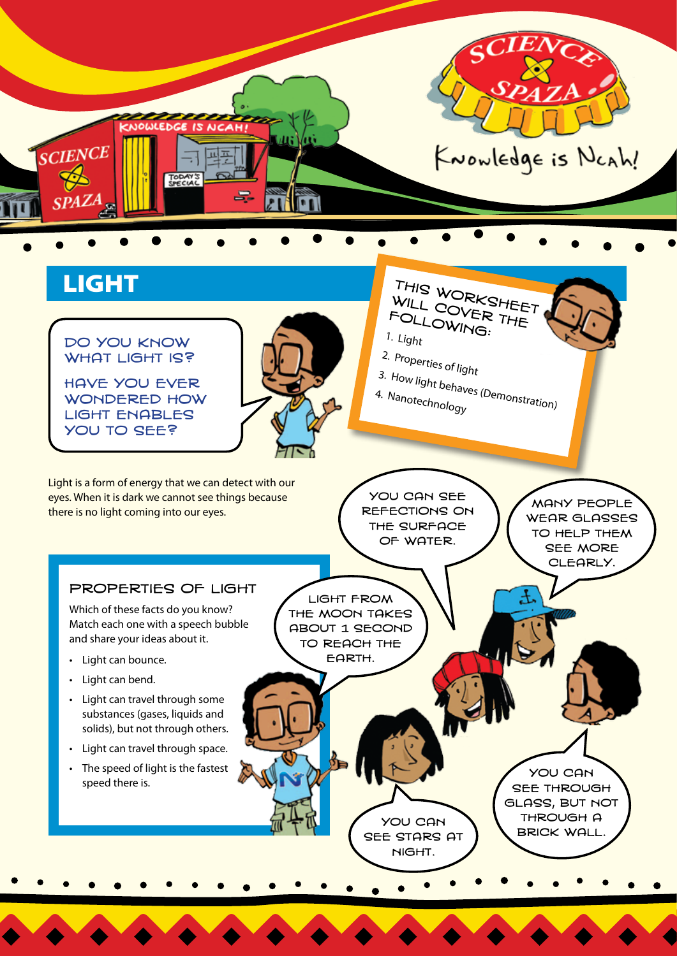